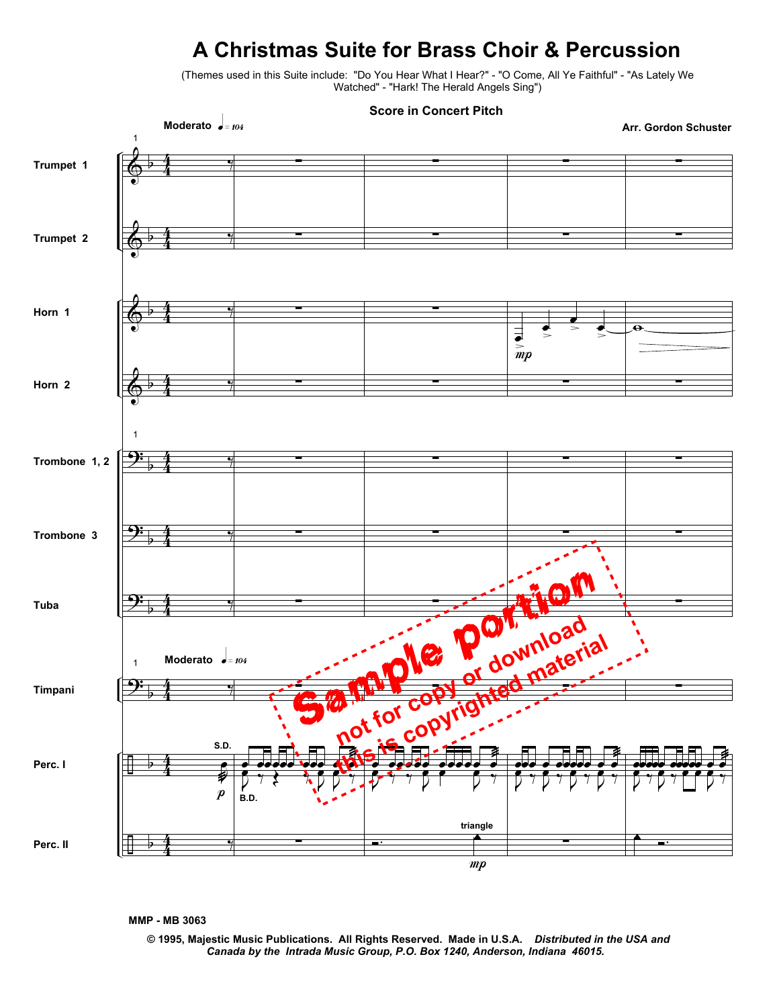## **A Christmas Suite for Brass Choir & Percussion**

(Themes used in this Suite include: "Do You Hear What I Hear?" - "O Come, All Ye Faithful" - "As Lately We Watched" - "Hark! The Herald Angels Sing")



 **© 1995, Majestic Music Publications. All Rights Reserved. Made in U.S.A.** *Distributed in the USA and Canada by the Intrada Music Group, P.O. Box 1240, Anderson, Indiana 46015.*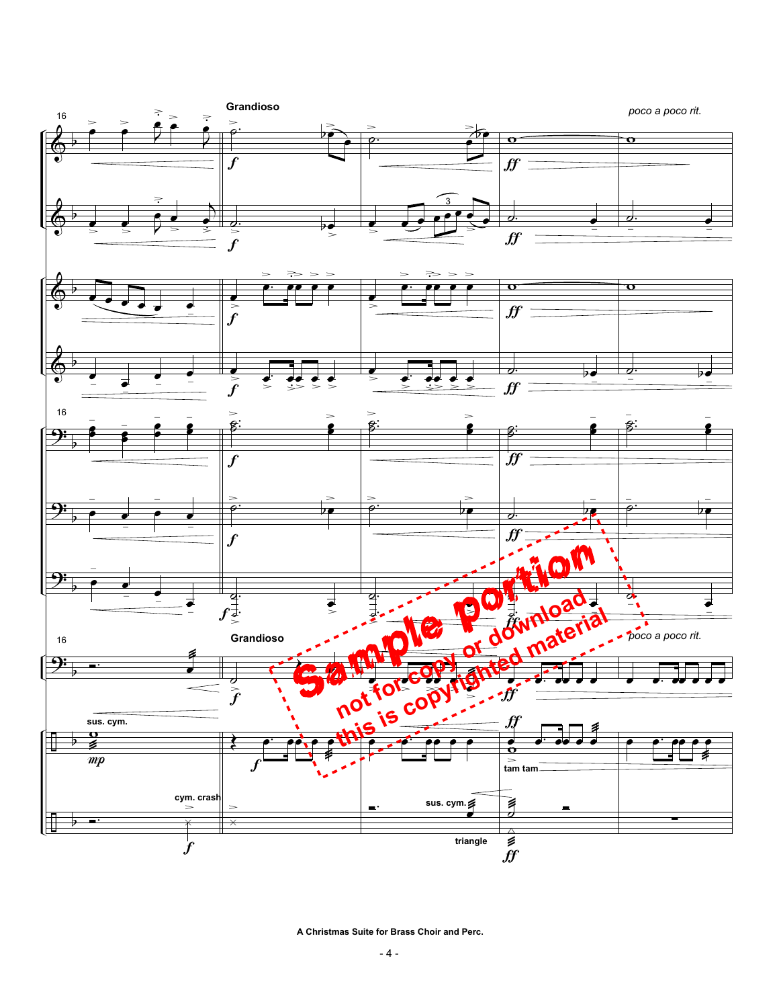

A Christmas Suite for Brass Choir and Perc.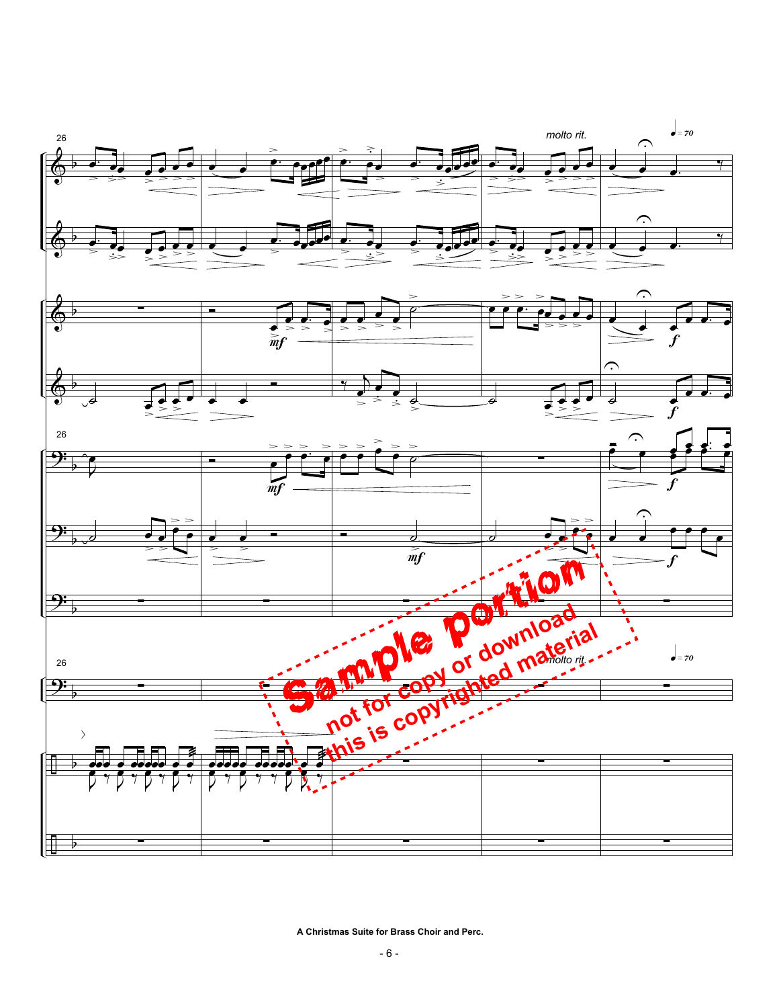

A Christmas Suite for Brass Choir and Perc.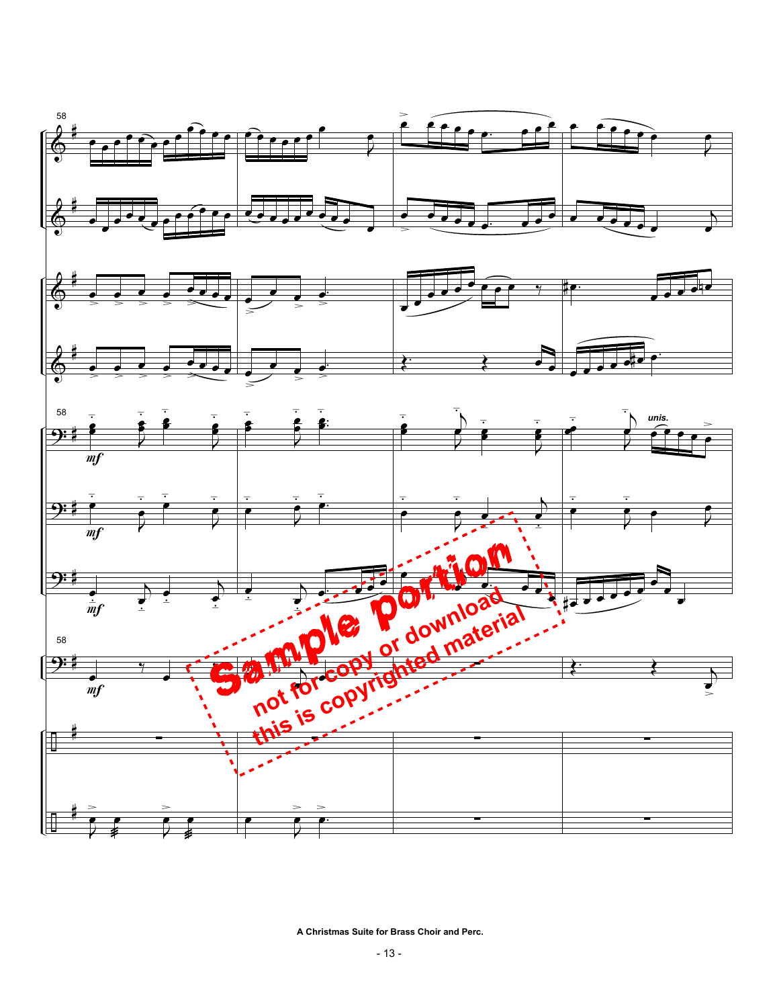

**A Christmas Suite for Brass Choir and Perc.**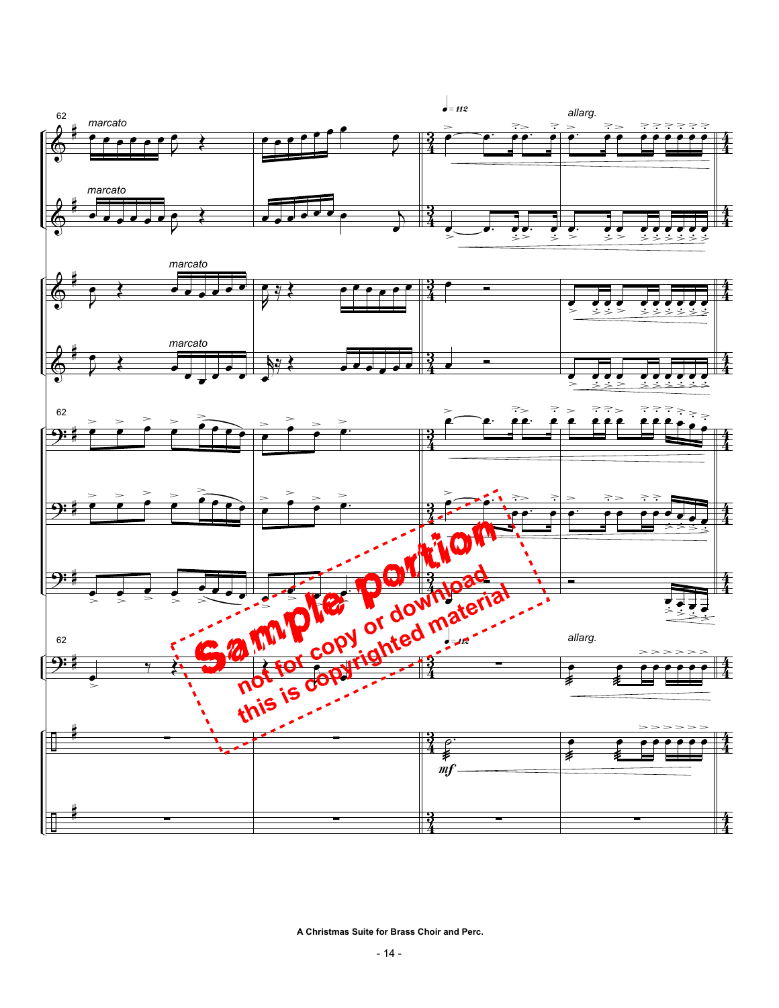

**A Christmas Suite for Brass Choir and Perc.**